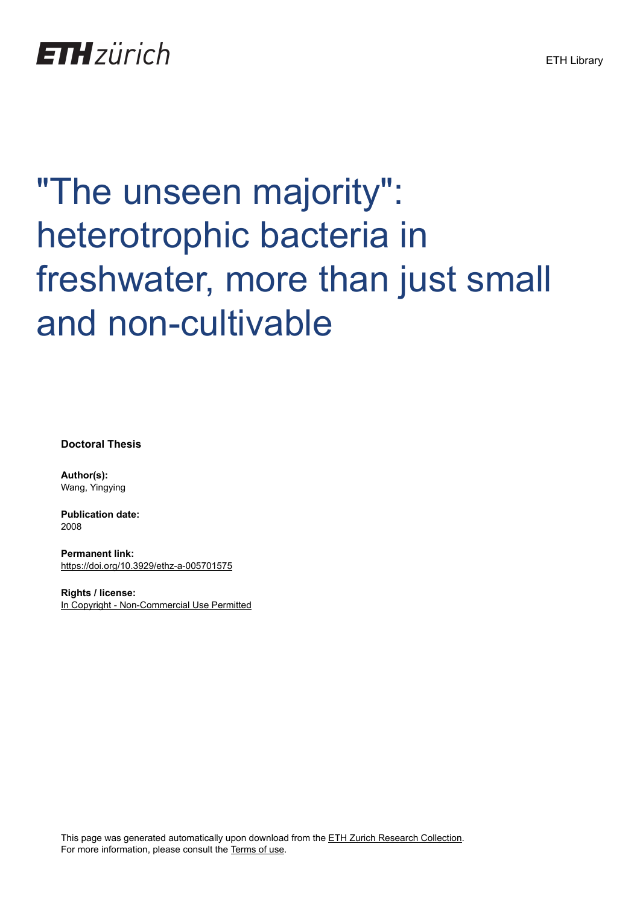

# "The unseen majority": heterotrophic bacteria in freshwater, more than just small and non-cultivable

**Doctoral Thesis**

**Author(s):** Wang, Yingying

**Publication date:** 2008

**Permanent link:** <https://doi.org/10.3929/ethz-a-005701575>

**Rights / license:** [In Copyright - Non-Commercial Use Permitted](http://rightsstatements.org/page/InC-NC/1.0/)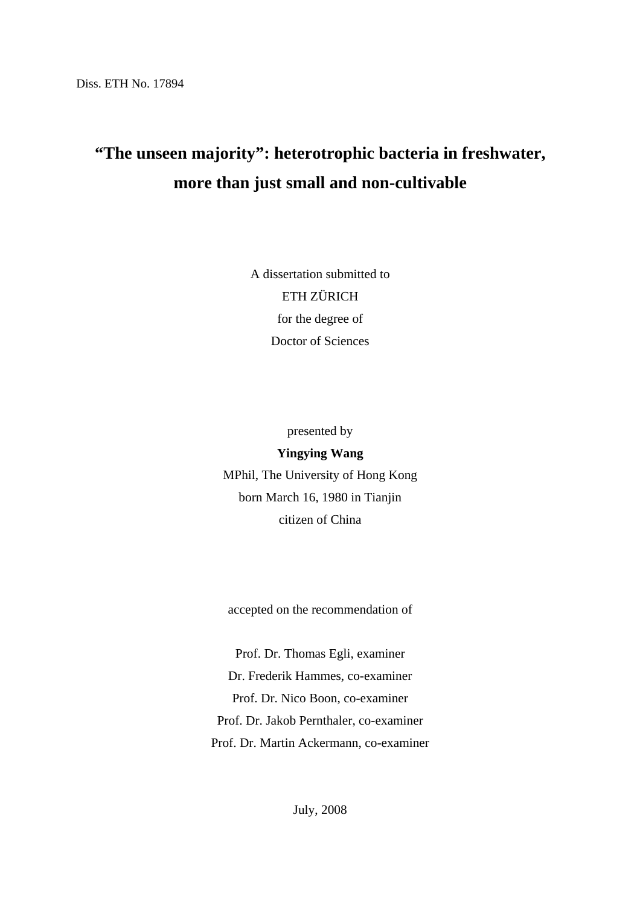## **"The unseen majority": heterotrophic bacteria in freshwater, more than just small and non-cultivable**

A dissertation submitted to ETH ZÜRICH for the degree of Doctor of Sciences

presented by

#### **Yingying Wang**

MPhil, The University of Hong Kong born March 16, 1980 in Tianjin citizen of China

accepted on the recommendation of

Prof. Dr. Thomas Egli, examiner Dr. Frederik Hammes, co-examiner Prof. Dr. Nico Boon, co-examiner Prof. Dr. Jakob Pernthaler, co-examiner Prof. Dr. Martin Ackermann, co-examiner

July, 2008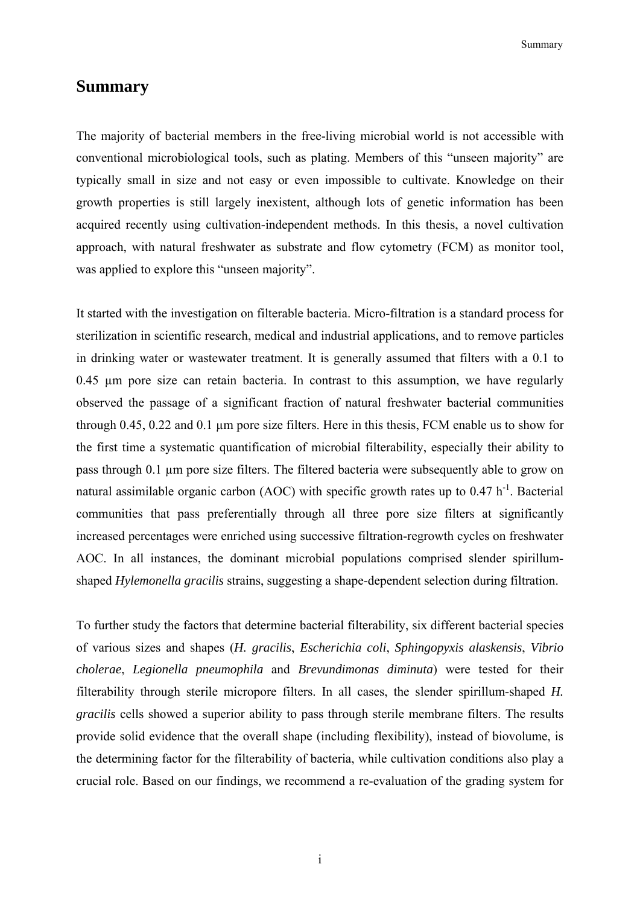Summary and the summary summary

#### **Summary**

The majority of bacterial members in the free-living microbial world is not accessible with conventional microbiological tools, such as plating. Members of this "unseen majority" are typically small in size and not easy or even impossible to cultivate. Knowledge on their growth properties is still largely inexistent, although lots of genetic information has been acquired recently using cultivation-independent methods. In this thesis, a novel cultivation approach, with natural freshwater as substrate and flow cytometry (FCM) as monitor tool, was applied to explore this "unseen majority".

It started with the investigation on filterable bacteria. Micro-filtration is a standard process for sterilization in scientific research, medical and industrial applications, and to remove particles in drinking water or wastewater treatment. It is generally assumed that filters with a 0.1 to 0.45 µm pore size can retain bacteria. In contrast to this assumption, we have regularly observed the passage of a significant fraction of natural freshwater bacterial communities through 0.45, 0.22 and 0.1 µm pore size filters. Here in this thesis, FCM enable us to show for the first time a systematic quantification of microbial filterability, especially their ability to pass through 0.1 µm pore size filters. The filtered bacteria were subsequently able to grow on natural assimilable organic carbon (AOC) with specific growth rates up to  $0.47 h^{-1}$ . Bacterial communities that pass preferentially through all three pore size filters at significantly increased percentages were enriched using successive filtration-regrowth cycles on freshwater AOC. In all instances, the dominant microbial populations comprised slender spirillumshaped *Hylemonella gracilis* strains, suggesting a shape-dependent selection during filtration.

To further study the factors that determine bacterial filterability, six different bacterial species of various sizes and shapes (*H. gracilis*, *Escherichia coli*, *Sphingopyxis alaskensis*, *Vibrio cholerae*, *Legionella pneumophila* and *Brevundimonas diminuta*) were tested for their filterability through sterile micropore filters. In all cases, the slender spirillum-shaped *H. gracilis* cells showed a superior ability to pass through sterile membrane filters. The results provide solid evidence that the overall shape (including flexibility), instead of biovolume, is the determining factor for the filterability of bacteria, while cultivation conditions also play a crucial role. Based on our findings, we recommend a re-evaluation of the grading system for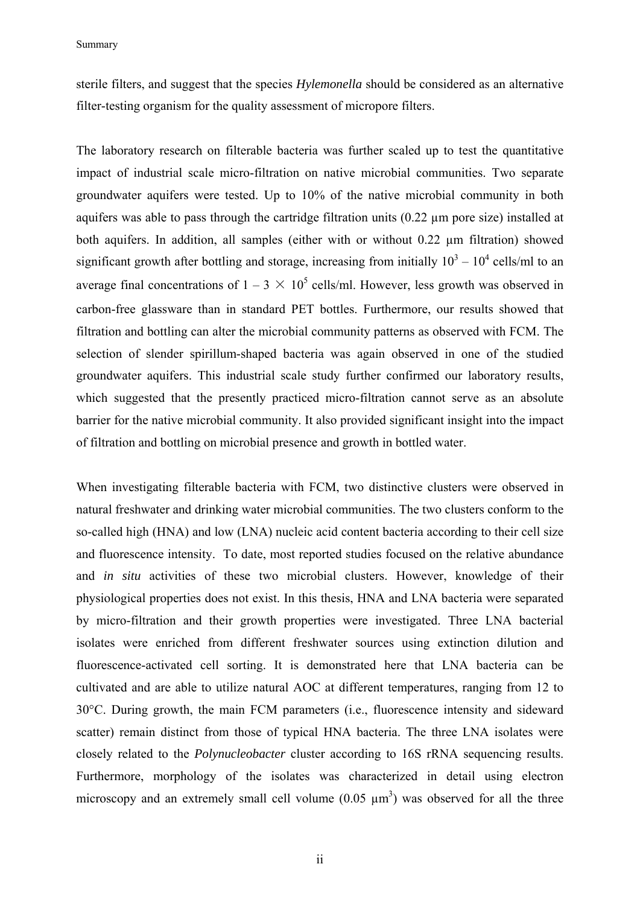Summary

sterile filters, and suggest that the species *Hylemonella* should be considered as an alternative filter-testing organism for the quality assessment of micropore filters.

The laboratory research on filterable bacteria was further scaled up to test the quantitative impact of industrial scale micro-filtration on native microbial communities. Two separate groundwater aquifers were tested. Up to 10% of the native microbial community in both aquifers was able to pass through the cartridge filtration units (0.22 µm pore size) installed at both aquifers. In addition, all samples (either with or without 0.22 µm filtration) showed significant growth after bottling and storage, increasing from initially  $10^3 - 10^4$  cells/ml to an average final concentrations of  $1-3 \times 10^5$  cells/ml. However, less growth was observed in carbon-free glassware than in standard PET bottles. Furthermore, our results showed that filtration and bottling can alter the microbial community patterns as observed with FCM. The selection of slender spirillum-shaped bacteria was again observed in one of the studied groundwater aquifers. This industrial scale study further confirmed our laboratory results, which suggested that the presently practiced micro-filtration cannot serve as an absolute barrier for the native microbial community. It also provided significant insight into the impact of filtration and bottling on microbial presence and growth in bottled water.

When investigating filterable bacteria with FCM, two distinctive clusters were observed in natural freshwater and drinking water microbial communities. The two clusters conform to the so-called high (HNA) and low (LNA) nucleic acid content bacteria according to their cell size and fluorescence intensity. To date, most reported studies focused on the relative abundance and *in situ* activities of these two microbial clusters. However, knowledge of their physiological properties does not exist. In this thesis, HNA and LNA bacteria were separated by micro-filtration and their growth properties were investigated. Three LNA bacterial isolates were enriched from different freshwater sources using extinction dilution and fluorescence-activated cell sorting. It is demonstrated here that LNA bacteria can be cultivated and are able to utilize natural AOC at different temperatures, ranging from 12 to 30°C. During growth, the main FCM parameters (i.e., fluorescence intensity and sideward scatter) remain distinct from those of typical HNA bacteria. The three LNA isolates were closely related to the *Polynucleobacter* cluster according to 16S rRNA sequencing results. Furthermore, morphology of the isolates was characterized in detail using electron microscopy and an extremely small cell volume  $(0.05 \mu m^3)$  was observed for all the three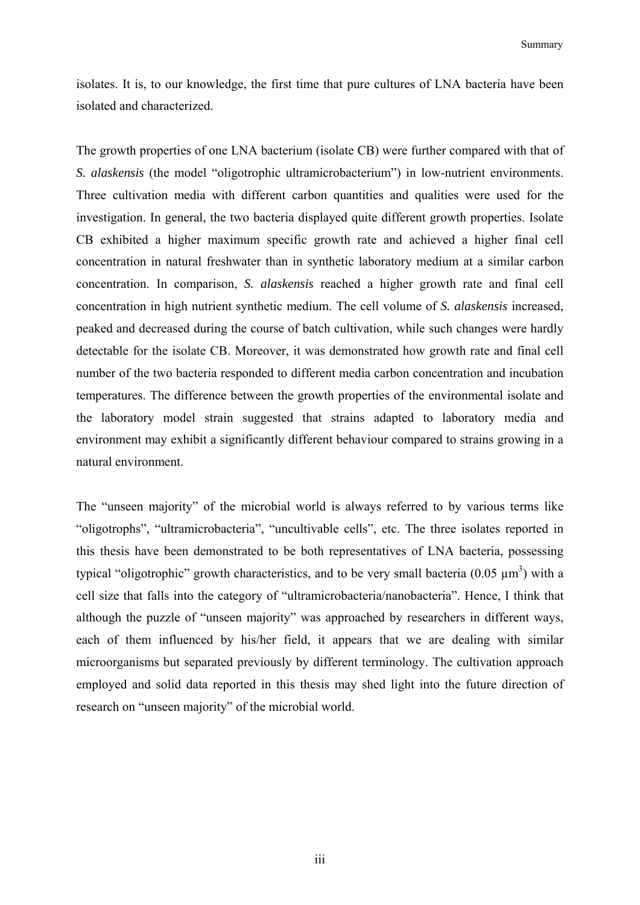isolates. It is, to our knowledge, the first time that pure cultures of LNA bacteria have been isolated and characterized.

The growth properties of one LNA bacterium (isolate CB) were further compared with that of *S. alaskensis* (the model "oligotrophic ultramicrobacterium") in low-nutrient environments. Three cultivation media with different carbon quantities and qualities were used for the investigation. In general, the two bacteria displayed quite different growth properties. Isolate CB exhibited a higher maximum specific growth rate and achieved a higher final cell concentration in natural freshwater than in synthetic laboratory medium at a similar carbon concentration. In comparison, *S. alaskensis* reached a higher growth rate and final cell concentration in high nutrient synthetic medium. The cell volume of *S. alaskensis* increased, peaked and decreased during the course of batch cultivation, while such changes were hardly detectable for the isolate CB. Moreover, it was demonstrated how growth rate and final cell number of the two bacteria responded to different media carbon concentration and incubation temperatures. The difference between the growth properties of the environmental isolate and the laboratory model strain suggested that strains adapted to laboratory media and environment may exhibit a significantly different behaviour compared to strains growing in a natural environment.

The "unseen majority" of the microbial world is always referred to by various terms like "oligotrophs", "ultramicrobacteria", "uncultivable cells", etc. The three isolates reported in this thesis have been demonstrated to be both representatives of LNA bacteria, possessing typical "oligotrophic" growth characteristics, and to be very small bacteria (0.05  $\mu$ m<sup>3</sup>) with a cell size that falls into the category of "ultramicrobacteria/nanobacteria". Hence, I think that although the puzzle of "unseen majority" was approached by researchers in different ways, each of them influenced by his/her field, it appears that we are dealing with similar microorganisms but separated previously by different terminology. The cultivation approach employed and solid data reported in this thesis may shed light into the future direction of research on "unseen majority" of the microbial world.

iii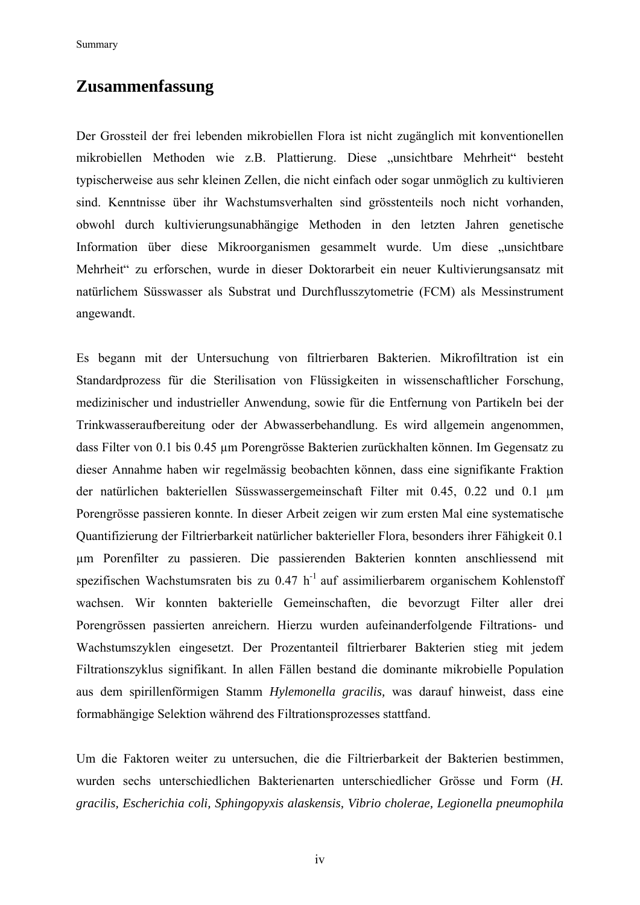Summary

### **Zusammenfassung**

Der Grossteil der frei lebenden mikrobiellen Flora ist nicht zugänglich mit konventionellen mikrobiellen Methoden wie z.B. Plattierung. Diese "unsichtbare Mehrheit" besteht typischerweise aus sehr kleinen Zellen, die nicht einfach oder sogar unmöglich zu kultivieren sind. Kenntnisse über ihr Wachstumsverhalten sind grösstenteils noch nicht vorhanden, obwohl durch kultivierungsunabhängige Methoden in den letzten Jahren genetische Information über diese Mikroorganismen gesammelt wurde. Um diese "unsichtbare Mehrheit" zu erforschen, wurde in dieser Doktorarbeit ein neuer Kultivierungsansatz mit natürlichem Süsswasser als Substrat und Durchflusszytometrie (FCM) als Messinstrument angewandt.

Es begann mit der Untersuchung von filtrierbaren Bakterien. Mikrofiltration ist ein Standardprozess für die Sterilisation von Flüssigkeiten in wissenschaftlicher Forschung, medizinischer und industrieller Anwendung, sowie für die Entfernung von Partikeln bei der Trinkwasseraufbereitung oder der Abwasserbehandlung. Es wird allgemein angenommen, dass Filter von 0.1 bis 0.45 µm Porengrösse Bakterien zurückhalten können. Im Gegensatz zu dieser Annahme haben wir regelmässig beobachten können, dass eine signifikante Fraktion der natürlichen bakteriellen Süsswassergemeinschaft Filter mit 0.45, 0.22 und 0.1 µm Porengrösse passieren konnte. In dieser Arbeit zeigen wir zum ersten Mal eine systematische Quantifizierung der Filtrierbarkeit natürlicher bakterieller Flora, besonders ihrer Fähigkeit 0.1 µm Porenfilter zu passieren. Die passierenden Bakterien konnten anschliessend mit spezifischen Wachstumsraten bis zu  $0.47$  h<sup>-1</sup> auf assimilierbarem organischem Kohlenstoff wachsen. Wir konnten bakterielle Gemeinschaften, die bevorzugt Filter aller drei Porengrössen passierten anreichern. Hierzu wurden aufeinanderfolgende Filtrations- und Wachstumszyklen eingesetzt. Der Prozentanteil filtrierbarer Bakterien stieg mit jedem Filtrationszyklus signifikant. In allen Fällen bestand die dominante mikrobielle Population aus dem spirillenförmigen Stamm *Hylemonella gracilis,* was darauf hinweist, dass eine formabhängige Selektion während des Filtrationsprozesses stattfand.

Um die Faktoren weiter zu untersuchen, die die Filtrierbarkeit der Bakterien bestimmen, wurden sechs unterschiedlichen Bakterienarten unterschiedlicher Grösse und Form (*H. gracilis, Escherichia coli, Sphingopyxis alaskensis, Vibrio cholerae, Legionella pneumophila*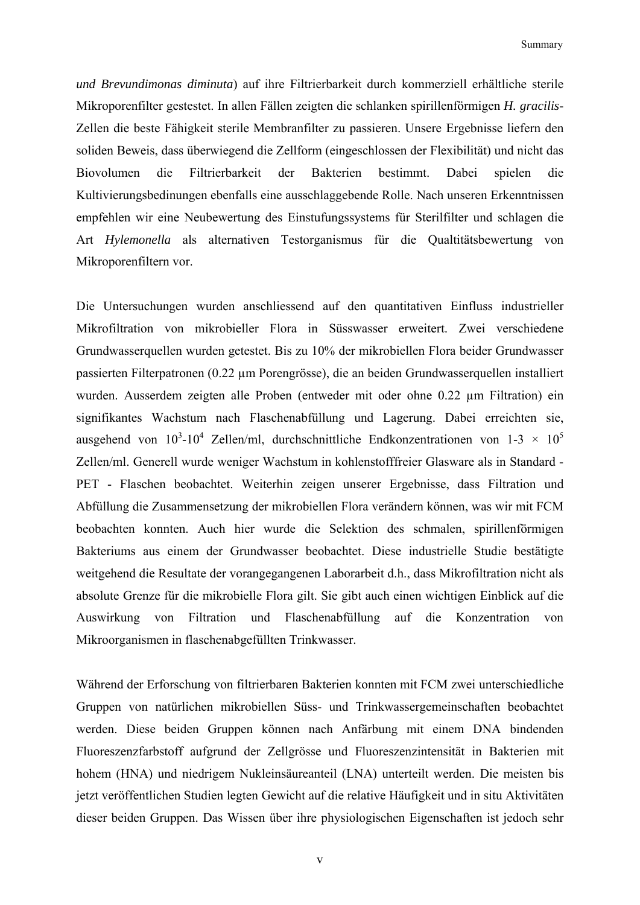Summary and the summary summary

*und Brevundimonas diminuta*) auf ihre Filtrierbarkeit durch kommerziell erhältliche sterile Mikroporenfilter gestestet. In allen Fällen zeigten die schlanken spirillenförmigen *H. gracilis*-Zellen die beste Fähigkeit sterile Membranfilter zu passieren. Unsere Ergebnisse liefern den soliden Beweis, dass überwiegend die Zellform (eingeschlossen der Flexibilität) und nicht das Biovolumen die Filtrierbarkeit der Bakterien bestimmt. Dabei spielen die Kultivierungsbedinungen ebenfalls eine ausschlaggebende Rolle. Nach unseren Erkenntnissen empfehlen wir eine Neubewertung des Einstufungssystems für Sterilfilter und schlagen die Art *Hylemonella* als alternativen Testorganismus für die Qualtitätsbewertung von Mikroporenfiltern vor.

Die Untersuchungen wurden anschliessend auf den quantitativen Einfluss industrieller Mikrofiltration von mikrobieller Flora in Süsswasser erweitert. Zwei verschiedene Grundwasserquellen wurden getestet. Bis zu 10% der mikrobiellen Flora beider Grundwasser passierten Filterpatronen (0.22 µm Porengrösse), die an beiden Grundwasserquellen installiert wurden. Ausserdem zeigten alle Proben (entweder mit oder ohne 0.22 µm Filtration) ein signifikantes Wachstum nach Flaschenabfüllung und Lagerung. Dabei erreichten sie, ausgehend von  $10^3$ -10<sup>4</sup> Zellen/ml, durchschnittliche Endkonzentrationen von 1-3 × 10<sup>5</sup> Zellen/ml. Generell wurde weniger Wachstum in kohlenstofffreier Glasware als in Standard - PET - Flaschen beobachtet. Weiterhin zeigen unserer Ergebnisse, dass Filtration und Abfüllung die Zusammensetzung der mikrobiellen Flora verändern können, was wir mit FCM beobachten konnten. Auch hier wurde die Selektion des schmalen, spirillenförmigen Bakteriums aus einem der Grundwasser beobachtet. Diese industrielle Studie bestätigte weitgehend die Resultate der vorangegangenen Laborarbeit d.h., dass Mikrofiltration nicht als absolute Grenze für die mikrobielle Flora gilt. Sie gibt auch einen wichtigen Einblick auf die Auswirkung von Filtration und Flaschenabfüllung auf die Konzentration von Mikroorganismen in flaschenabgefüllten Trinkwasser.

Während der Erforschung von filtrierbaren Bakterien konnten mit FCM zwei unterschiedliche Gruppen von natürlichen mikrobiellen Süss- und Trinkwassergemeinschaften beobachtet werden. Diese beiden Gruppen können nach Anfärbung mit einem DNA bindenden Fluoreszenzfarbstoff aufgrund der Zellgrösse und Fluoreszenzintensität in Bakterien mit hohem (HNA) und niedrigem Nukleinsäureanteil (LNA) unterteilt werden. Die meisten bis jetzt veröffentlichen Studien legten Gewicht auf die relative Häufigkeit und in situ Aktivitäten dieser beiden Gruppen. Das Wissen über ihre physiologischen Eigenschaften ist jedoch sehr

v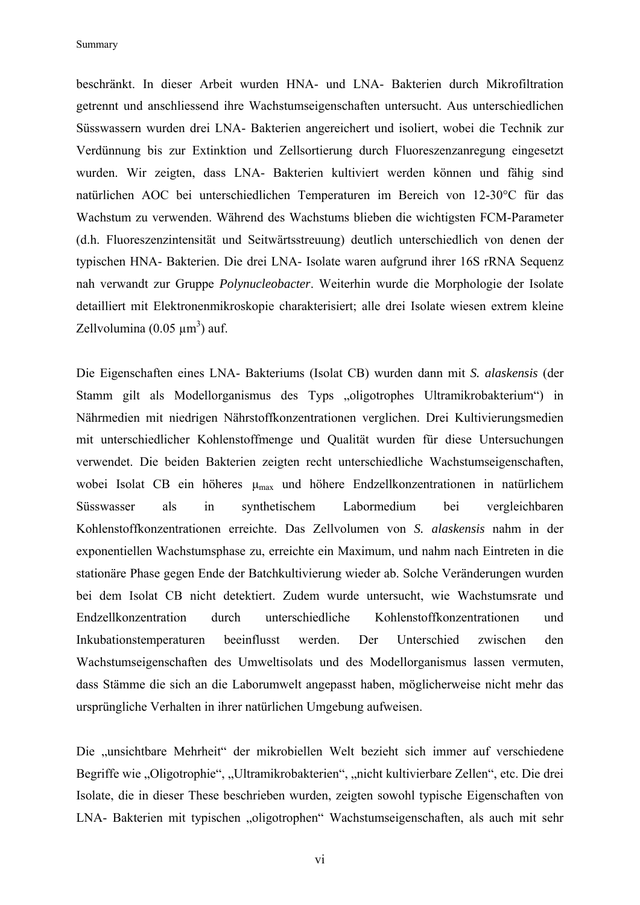Summary

beschränkt. In dieser Arbeit wurden HNA- und LNA- Bakterien durch Mikrofiltration getrennt und anschliessend ihre Wachstumseigenschaften untersucht. Aus unterschiedlichen Süsswassern wurden drei LNA- Bakterien angereichert und isoliert, wobei die Technik zur Verdünnung bis zur Extinktion und Zellsortierung durch Fluoreszenzanregung eingesetzt wurden. Wir zeigten, dass LNA- Bakterien kultiviert werden können und fähig sind natürlichen AOC bei unterschiedlichen Temperaturen im Bereich von 12-30°C für das Wachstum zu verwenden. Während des Wachstums blieben die wichtigsten FCM-Parameter (d.h. Fluoreszenzintensität und Seitwärtsstreuung) deutlich unterschiedlich von denen der typischen HNA- Bakterien. Die drei LNA- Isolate waren aufgrund ihrer 16S rRNA Sequenz nah verwandt zur Gruppe *Polynucleobacter*. Weiterhin wurde die Morphologie der Isolate detailliert mit Elektronenmikroskopie charakterisiert; alle drei Isolate wiesen extrem kleine Zellvolumina  $(0.05 \mu m^3)$  auf.

Die Eigenschaften eines LNA- Bakteriums (Isolat CB) wurden dann mit *S. alaskensis* (der Stamm gilt als Modellorganismus des Typs "oligotrophes Ultramikrobakterium") in Nährmedien mit niedrigen Nährstoffkonzentrationen verglichen. Drei Kultivierungsmedien mit unterschiedlicher Kohlenstoffmenge und Qualität wurden für diese Untersuchungen verwendet. Die beiden Bakterien zeigten recht unterschiedliche Wachstumseigenschaften, wobei Isolat CB ein höheres  $\mu_{\text{max}}$  und höhere Endzellkonzentrationen in natürlichem Süsswasser als in synthetischem Labormedium bei vergleichbaren Kohlenstoffkonzentrationen erreichte. Das Zellvolumen von *S. alaskensis* nahm in der exponentiellen Wachstumsphase zu, erreichte ein Maximum, und nahm nach Eintreten in die stationäre Phase gegen Ende der Batchkultivierung wieder ab. Solche Veränderungen wurden bei dem Isolat CB nicht detektiert. Zudem wurde untersucht, wie Wachstumsrate und Endzellkonzentration durch unterschiedliche Kohlenstoffkonzentrationen und Inkubationstemperaturen beeinflusst werden. Der Unterschied zwischen den Wachstumseigenschaften des Umweltisolats und des Modellorganismus lassen vermuten, dass Stämme die sich an die Laborumwelt angepasst haben, möglicherweise nicht mehr das ursprüngliche Verhalten in ihrer natürlichen Umgebung aufweisen.

Die "unsichtbare Mehrheit" der mikrobiellen Welt bezieht sich immer auf verschiedene Begriffe wie "Oligotrophie", "Ultramikrobakterien", "nicht kultivierbare Zellen", etc. Die drei Isolate, die in dieser These beschrieben wurden, zeigten sowohl typische Eigenschaften von LNA- Bakterien mit typischen "oligotrophen" Wachstumseigenschaften, als auch mit sehr